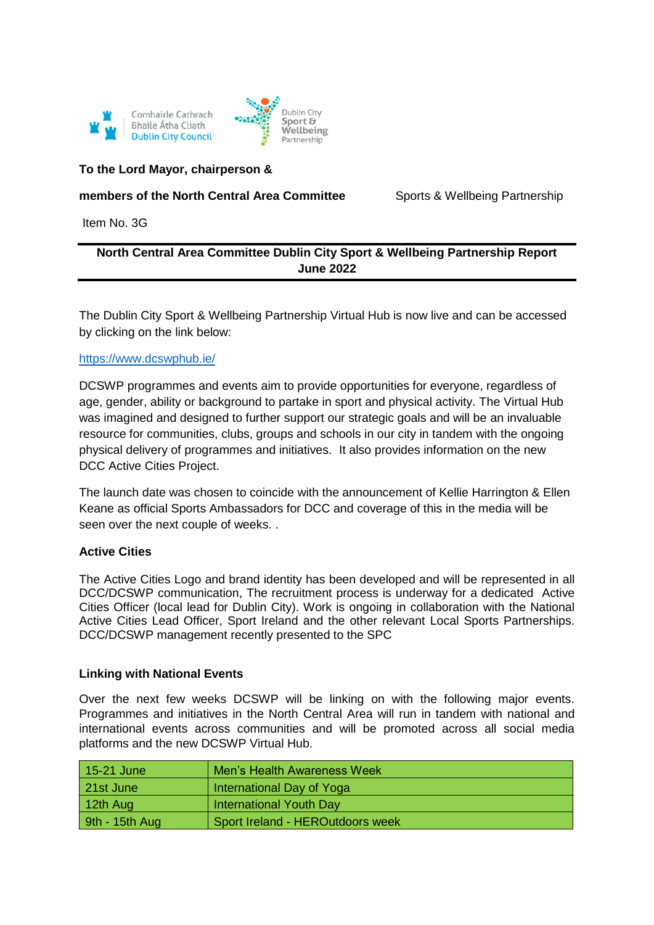



### **To the Lord Mayor, chairperson &**

## **members of the North Central Area Committee** Sports & Wellbeing Partnership

Item No. 3G

# **North Central Area Committee Dublin City Sport & Wellbeing Partnership Report June 2022**

The Dublin City Sport & Wellbeing Partnership Virtual Hub is now live and can be accessed by clicking on the link below:

#### [https://www.dcswphub.ie/](https://scanner.topsec.com/?d=1962&r=show&u=https%3A%2F%2Fwww.dcswphub.ie%2F&t=accff1a64815405768257caff0ae6bca4309fe20)

DCSWP programmes and events aim to provide opportunities for everyone, regardless of age, gender, ability or background to partake in sport and physical activity. The Virtual Hub was imagined and designed to further support our strategic goals and will be an invaluable resource for communities, clubs, groups and schools in our city in tandem with the ongoing physical delivery of programmes and initiatives. It also provides information on the new DCC Active Cities Project.

The launch date was chosen to coincide with the announcement of Kellie Harrington & Ellen Keane as official Sports Ambassadors for DCC and coverage of this in the media will be seen over the next couple of weeks. .

### **Active Cities**

The Active Cities Logo and brand identity has been developed and will be represented in all DCC/DCSWP communication, The recruitment process is underway for a dedicated Active Cities Officer (local lead for Dublin City). Work is ongoing in collaboration with the National Active Cities Lead Officer, Sport Ireland and the other relevant Local Sports Partnerships. DCC/DCSWP management recently presented to the SPC

### **Linking with National Events**

Over the next few weeks DCSWP will be linking on with the following major events. Programmes and initiatives in the North Central Area will run in tandem with national and international events across communities and will be promoted across all social media platforms and the new DCSWP Virtual Hub.

| 15-21 June       | Men's Health Awareness Week      |
|------------------|----------------------------------|
| 21st June        | International Day of Yoga        |
| 12th Aug         | International Youth Day          |
| $9th - 15th$ Aug | Sport Ireland - HEROutdoors week |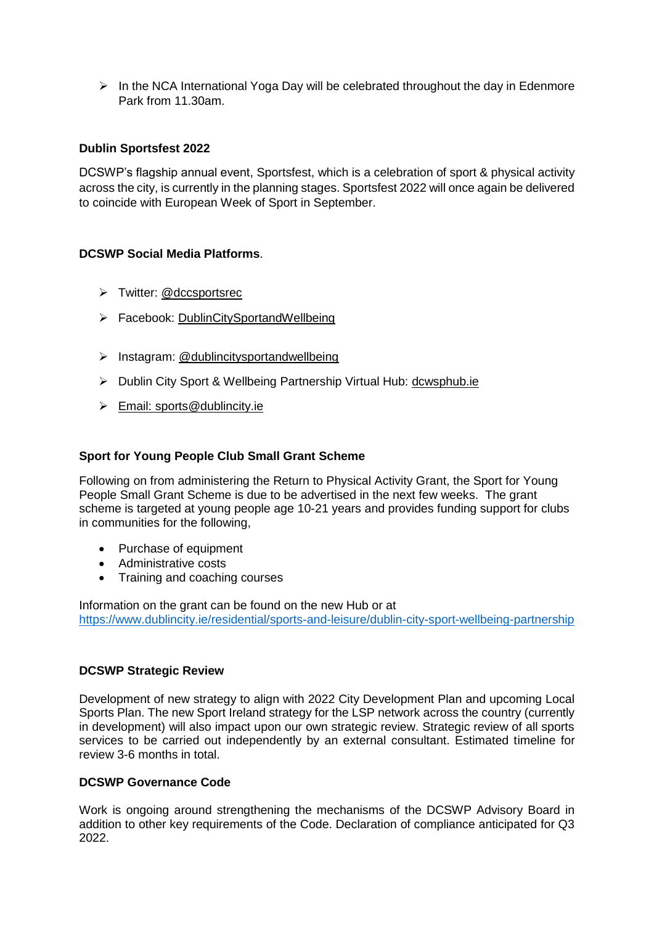$\triangleright$  In the NCA International Yoga Day will be celebrated throughout the day in Edenmore Park from 11.30am.

### **Dublin Sportsfest 2022**

DCSWP's flagship annual event, Sportsfest, which is a celebration of sport & physical activity across the city, is currently in the planning stages. Sportsfest 2022 will once again be delivered to coincide with European Week of Sport in September.

## **DCSWP Social Media Platforms**.

- > Twitter: @dccsportsrec
- > Facebook: [DublinCitySportandWellbeing](https://www.facebook.com/DublinCitySportandWellbeingPartnership/)
- > Instagram: @dublincitysportandwellbeing
- Dublin City Sport & Wellbeing Partnership Virtual Hub: [dcwsphub.ie](http://www.dcswphub.ie/)
- $\triangleright$  Email: [sports@dublincity.ie](file://///dccdata/cande/Shared/EandC/Sport%20&%20Wellbeing%20Partnership/Communications/Area%20Committee%20Reports/Reporting%202022/South%20East%20Area/sports@dublincity.ie)

### **Sport for Young People Club Small Grant Scheme**

Following on from administering the Return to Physical Activity Grant, the Sport for Young People Small Grant Scheme is due to be advertised in the next few weeks. The grant scheme is targeted at young people age 10-21 years and provides funding support for clubs in communities for the following,

- Purchase of equipment
- Administrative costs
- Training and coaching courses

Information on the grant can be found on the new Hub or at <https://www.dublincity.ie/residential/sports-and-leisure/dublin-city-sport-wellbeing-partnership>

### **DCSWP Strategic Review**

Development of new strategy to align with 2022 City Development Plan and upcoming Local Sports Plan. The new Sport Ireland strategy for the LSP network across the country (currently in development) will also impact upon our own strategic review. Strategic review of all sports services to be carried out independently by an external consultant. Estimated timeline for review 3-6 months in total.

### **DCSWP Governance Code**

Work is ongoing around strengthening the mechanisms of the DCSWP Advisory Board in addition to other key requirements of the Code. Declaration of compliance anticipated for Q3 2022.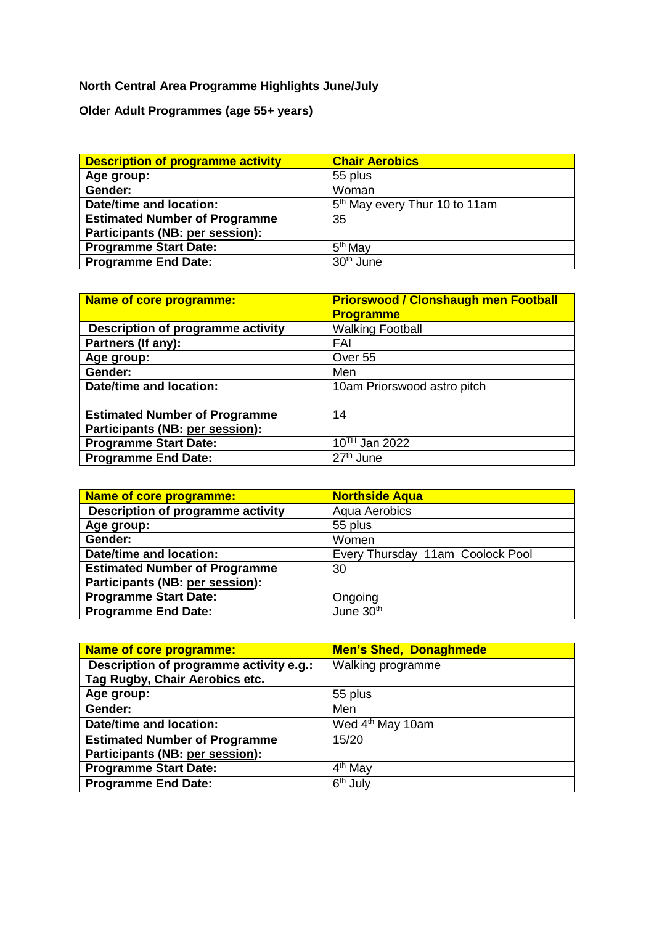# **North Central Area Programme Highlights June/July**

**Older Adult Programmes (age 55+ years)**

| <b>Description of programme activity</b> | <b>Chair Aerobics</b>                     |
|------------------------------------------|-------------------------------------------|
| Age group:                               | 55 plus                                   |
| Gender:                                  | Woman                                     |
| Date/time and location:                  | 5 <sup>th</sup> May every Thur 10 to 11am |
| <b>Estimated Number of Programme</b>     | 35                                        |
| Participants (NB: per session):          |                                           |
| <b>Programme Start Date:</b>             | 5 <sup>th</sup> May                       |
| <b>Programme End Date:</b>               | 30 <sup>th</sup> June                     |

| Name of core programme:              | <b>Priorswood / Clonshaugh men Football</b> |
|--------------------------------------|---------------------------------------------|
|                                      | <b>Programme</b>                            |
| Description of programme activity    | <b>Walking Football</b>                     |
| Partners (If any):                   | FAI                                         |
| Age group:                           | Over 55                                     |
| Gender:                              | Men                                         |
| Date/time and location:              | 10am Priorswood astro pitch                 |
|                                      |                                             |
| <b>Estimated Number of Programme</b> | 14                                          |
| Participants (NB: per session):      |                                             |
| <b>Programme Start Date:</b>         | 10TH Jan 2022                               |
| <b>Programme End Date:</b>           | 27 <sup>th</sup> June                       |

| <b>Name of core programme:</b>       | <b>Northside Aqua</b>            |
|--------------------------------------|----------------------------------|
| Description of programme activity    | Aqua Aerobics                    |
| Age group:                           | 55 plus                          |
| Gender:                              | Women                            |
| Date/time and location:              | Every Thursday 11am Coolock Pool |
| <b>Estimated Number of Programme</b> | 30                               |
| Participants (NB: per session):      |                                  |
| <b>Programme Start Date:</b>         | Ongoing                          |
| <b>Programme End Date:</b>           | June 30th                        |

| <b>Name of core programme:</b>          | <b>Men's Shed, Donaghmede</b> |
|-----------------------------------------|-------------------------------|
| Description of programme activity e.g.: | Walking programme             |
| Tag Rugby, Chair Aerobics etc.          |                               |
| Age group:                              | 55 plus                       |
| Gender:                                 | Men                           |
| <b>Date/time and location:</b>          | Wed 4 <sup>th</sup> May 10am  |
| <b>Estimated Number of Programme</b>    | 15/20                         |
| Participants (NB: per session):         |                               |
| <b>Programme Start Date:</b>            | 4 <sup>th</sup> May           |
| <b>Programme End Date:</b>              | 6 <sup>th</sup> July          |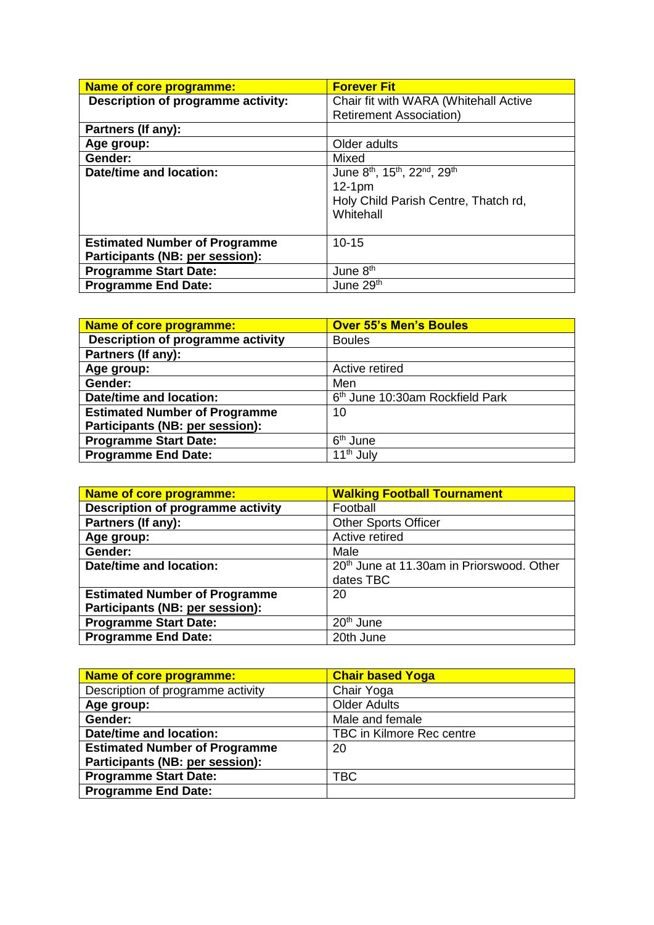| Name of core programme:                                                 | <b>Forever Fit</b>                                                                                                                             |
|-------------------------------------------------------------------------|------------------------------------------------------------------------------------------------------------------------------------------------|
| Description of programme activity:                                      | Chair fit with WARA (Whitehall Active<br><b>Retirement Association)</b>                                                                        |
|                                                                         |                                                                                                                                                |
| Partners (If any):                                                      |                                                                                                                                                |
| Age group:                                                              | Older adults                                                                                                                                   |
| Gender:                                                                 | Mixed                                                                                                                                          |
| <b>Date/time and location:</b>                                          | June 8 <sup>th</sup> , 15 <sup>th</sup> , 22 <sup>nd</sup> , 29 <sup>th</sup><br>$12-1pm$<br>Holy Child Parish Centre, Thatch rd,<br>Whitehall |
| <b>Estimated Number of Programme</b><br>Participants (NB: per session): | $10 - 15$                                                                                                                                      |
| <b>Programme Start Date:</b>                                            | June 8 <sup>th</sup>                                                                                                                           |
| <b>Programme End Date:</b>                                              | June 29th                                                                                                                                      |

| Name of core programme:              | <b>Over 55's Men's Boules</b>               |
|--------------------------------------|---------------------------------------------|
| Description of programme activity    | <b>Boules</b>                               |
| Partners (If any):                   |                                             |
| Age group:                           | Active retired                              |
| Gender:                              | Men                                         |
| Date/time and location:              | 6 <sup>th</sup> June 10:30am Rockfield Park |
| <b>Estimated Number of Programme</b> | 10                                          |
| Participants (NB: per session):      |                                             |
| <b>Programme Start Date:</b>         | 6 <sup>th</sup> June                        |
| <b>Programme End Date:</b>           | 11 <sup>th</sup> July                       |

| Name of core programme:              | <b>Walking Football Tournament</b>                    |
|--------------------------------------|-------------------------------------------------------|
| Description of programme activity    | Football                                              |
| Partners (If any):                   | <b>Other Sports Officer</b>                           |
| Age group:                           | Active retired                                        |
| Gender:                              | Male                                                  |
| Date/time and location:              | 20 <sup>th</sup> June at 11.30am in Priorswood. Other |
|                                      | dates TBC                                             |
| <b>Estimated Number of Programme</b> | 20                                                    |
| Participants (NB: per session):      |                                                       |
| <b>Programme Start Date:</b>         | 20 <sup>th</sup> June                                 |
| <b>Programme End Date:</b>           | 20th June                                             |

| <b>Name of core programme:</b>       | <b>Chair based Yoga</b>          |
|--------------------------------------|----------------------------------|
| Description of programme activity    | Chair Yoga                       |
| Age group:                           | <b>Older Adults</b>              |
| Gender:                              | Male and female                  |
| <b>Date/time and location:</b>       | <b>TBC in Kilmore Rec centre</b> |
| <b>Estimated Number of Programme</b> | 20                               |
| Participants (NB: per session):      |                                  |
| <b>Programme Start Date:</b>         | <b>TBC</b>                       |
| <b>Programme End Date:</b>           |                                  |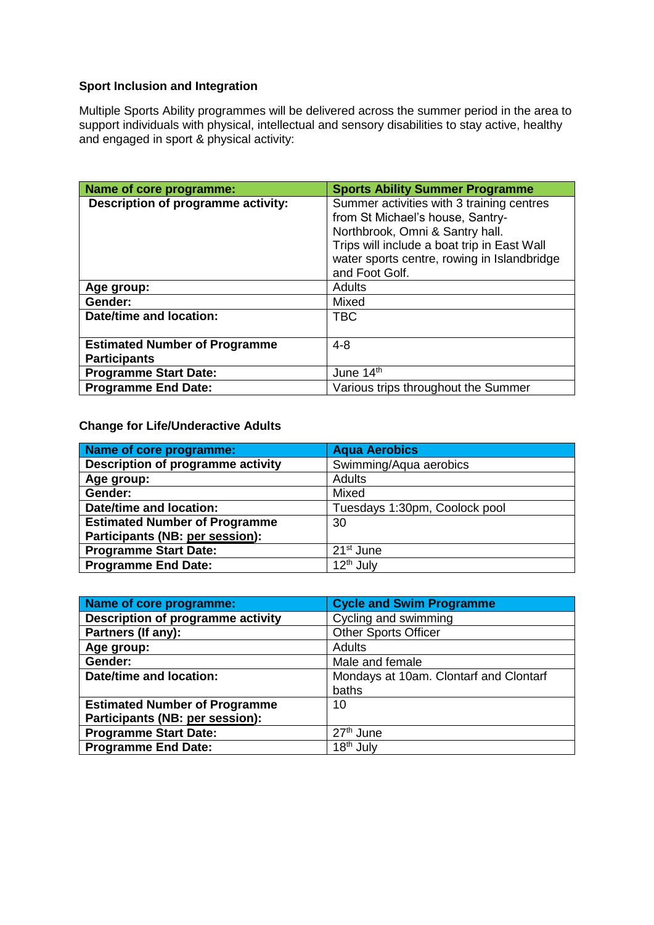# **Sport Inclusion and Integration**

Multiple Sports Ability programmes will be delivered across the summer period in the area to support individuals with physical, intellectual and sensory disabilities to stay active, healthy and engaged in sport & physical activity:

| Name of core programme:                                     | <b>Sports Ability Summer Programme</b>                                                                                                                                                                                           |
|-------------------------------------------------------------|----------------------------------------------------------------------------------------------------------------------------------------------------------------------------------------------------------------------------------|
| Description of programme activity:                          | Summer activities with 3 training centres<br>from St Michael's house, Santry-<br>Northbrook, Omni & Santry hall.<br>Trips will include a boat trip in East Wall<br>water sports centre, rowing in Islandbridge<br>and Foot Golf. |
| Age group:                                                  | Adults                                                                                                                                                                                                                           |
| Gender:                                                     | Mixed                                                                                                                                                                                                                            |
| Date/time and location:                                     | <b>TBC</b>                                                                                                                                                                                                                       |
| <b>Estimated Number of Programme</b><br><b>Participants</b> | $4 - 8$                                                                                                                                                                                                                          |
| <b>Programme Start Date:</b>                                | June 14th                                                                                                                                                                                                                        |
| <b>Programme End Date:</b>                                  | Various trips throughout the Summer                                                                                                                                                                                              |

## **Change for Life/Underactive Adults**

| Name of core programme:                  | <b>Agua Aerobics</b>          |
|------------------------------------------|-------------------------------|
| <b>Description of programme activity</b> | Swimming/Aqua aerobics        |
| Age group:                               | <b>Adults</b>                 |
| Gender:                                  | Mixed                         |
| Date/time and location:                  | Tuesdays 1:30pm, Coolock pool |
| <b>Estimated Number of Programme</b>     | 30                            |
| Participants (NB: per session):          |                               |
| <b>Programme Start Date:</b>             | 21 <sup>st</sup> June         |
| <b>Programme End Date:</b>               | 12 <sup>th</sup> July         |

| Name of core programme:              | <b>Cycle and Swim Programme</b>        |
|--------------------------------------|----------------------------------------|
| Description of programme activity    | Cycling and swimming                   |
| Partners (If any):                   | <b>Other Sports Officer</b>            |
| Age group:                           | <b>Adults</b>                          |
| Gender:                              | Male and female                        |
| Date/time and location:              | Mondays at 10am. Clontarf and Clontarf |
|                                      | baths                                  |
| <b>Estimated Number of Programme</b> | 10                                     |
| Participants (NB: per session):      |                                        |
| <b>Programme Start Date:</b>         | 27 <sup>th</sup> June                  |
| <b>Programme End Date:</b>           | 18 <sup>th</sup> July                  |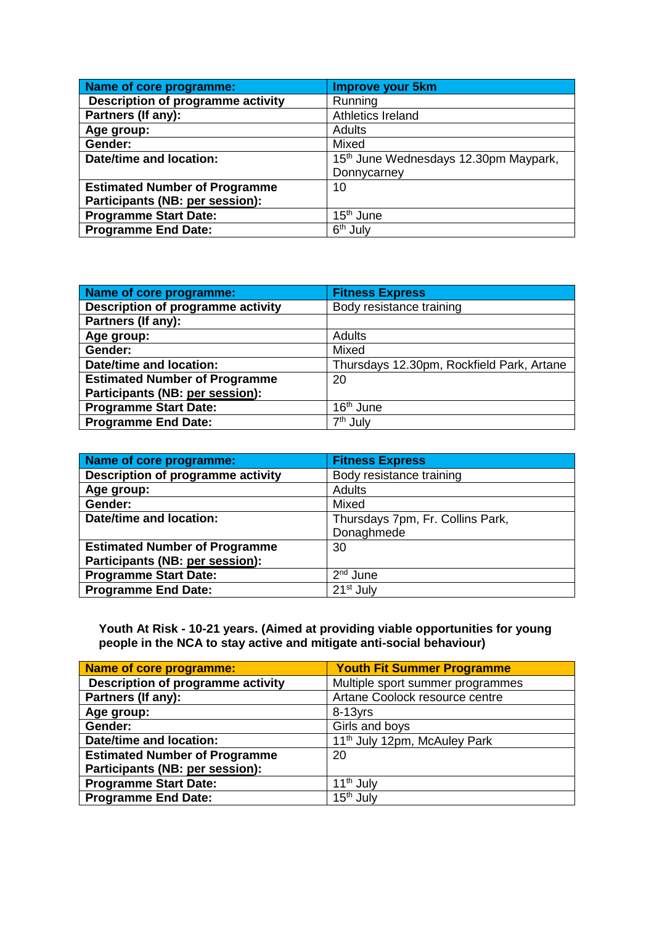| Name of core programme:              | <b>Improve your 5km</b>                           |  |
|--------------------------------------|---------------------------------------------------|--|
| Description of programme activity    | Running                                           |  |
| Partners (If any):                   | Athletics Ireland                                 |  |
| Age group:                           | Adults                                            |  |
| Gender:                              | Mixed                                             |  |
| Date/time and location:              | 15 <sup>th</sup> June Wednesdays 12.30pm Maypark, |  |
|                                      | Donnycarney                                       |  |
| <b>Estimated Number of Programme</b> | 10                                                |  |
| Participants (NB: per session):      |                                                   |  |
| <b>Programme Start Date:</b>         | 15 <sup>th</sup> June                             |  |
| <b>Programme End Date:</b>           | 6 <sup>th</sup> July                              |  |

| Name of core programme:              | <b>Fitness Express</b>                    |
|--------------------------------------|-------------------------------------------|
| Description of programme activity    | Body resistance training                  |
| Partners (If any):                   |                                           |
| Age group:                           | <b>Adults</b>                             |
| Gender:                              | Mixed                                     |
| Date/time and location:              | Thursdays 12.30pm, Rockfield Park, Artane |
| <b>Estimated Number of Programme</b> | 20                                        |
| Participants (NB: per session):      |                                           |
| <b>Programme Start Date:</b>         | 16 <sup>th</sup> June                     |
| <b>Programme End Date:</b>           | 7 <sup>th</sup> July                      |

| Name of core programme:              | <b>Fitness Express</b>           |
|--------------------------------------|----------------------------------|
| Description of programme activity    | Body resistance training         |
| Age group:                           | <b>Adults</b>                    |
| Gender:                              | Mixed                            |
| Date/time and location:              | Thursdays 7pm, Fr. Collins Park, |
|                                      | Donaghmede                       |
| <b>Estimated Number of Programme</b> | 30                               |
| Participants (NB: per session):      |                                  |
| <b>Programme Start Date:</b>         | 2 <sup>nd</sup> June             |
| <b>Programme End Date:</b>           | 21 <sup>st</sup> July            |

#### **Youth At Risk - 10-21 years. (Aimed at providing viable opportunities for young people in the NCA to stay active and mitigate anti-social behaviour)**

| Name of core programme:              | <b>Youth Fit Summer Programme</b>        |  |
|--------------------------------------|------------------------------------------|--|
| Description of programme activity    | Multiple sport summer programmes         |  |
| Partners (If any):                   | Artane Coolock resource centre           |  |
| Age group:                           | $8-13$ yrs                               |  |
| Gender:                              | Girls and boys                           |  |
| <b>Date/time and location:</b>       | 11 <sup>th</sup> July 12pm, McAuley Park |  |
| <b>Estimated Number of Programme</b> | 20                                       |  |
| Participants (NB: per session):      |                                          |  |
| <b>Programme Start Date:</b>         | 11 <sup>th</sup> July                    |  |
| <b>Programme End Date:</b>           | 15 <sup>th</sup> July                    |  |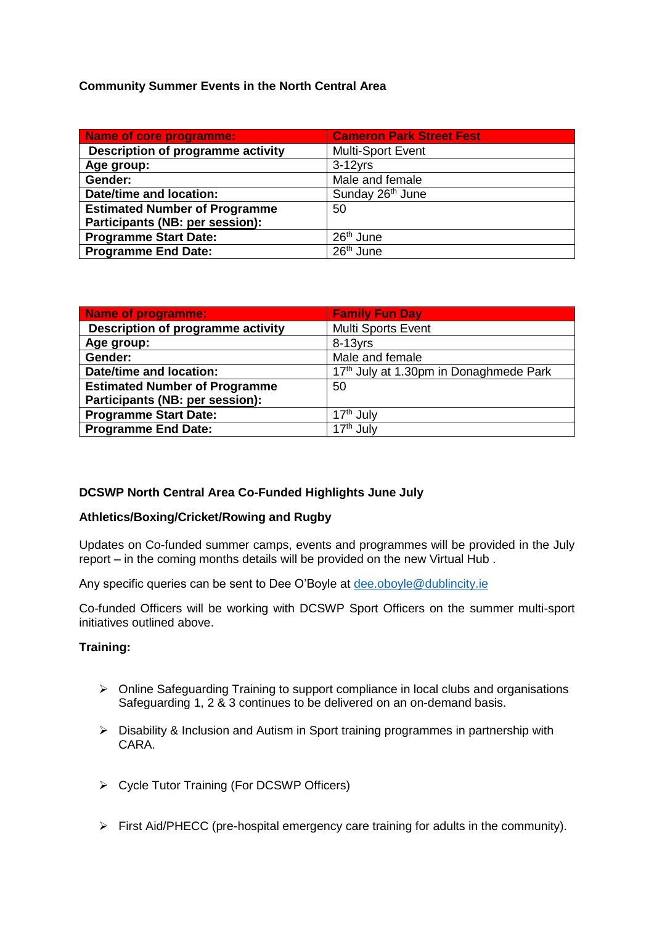## **Community Summer Events in the North Central Area**

| <b>Name of core programme:</b>       | <b>Cameron Park Street Fest</b> |  |
|--------------------------------------|---------------------------------|--|
| Description of programme activity    | Multi-Sport Event               |  |
| Age group:                           | $3-12$ yrs                      |  |
| Gender:                              | Male and female                 |  |
| <b>Date/time and location:</b>       | Sunday 26 <sup>th</sup> June    |  |
| <b>Estimated Number of Programme</b> | 50                              |  |
| Participants (NB: per session):      |                                 |  |
| <b>Programme Start Date:</b>         | $26th$ June                     |  |
| <b>Programme End Date:</b>           | $26th$ June                     |  |

| <b>Name of programme:</b>            | <b>Family Fun Day</b>                  |
|--------------------------------------|----------------------------------------|
| Description of programme activity    | Multi Sports Event                     |
| Age group:                           | $8-13$ yrs                             |
| Gender:                              | Male and female                        |
| <b>Date/time and location:</b>       | 17th July at 1.30pm in Donaghmede Park |
| <b>Estimated Number of Programme</b> | 50                                     |
| Participants (NB: per session):      |                                        |
| <b>Programme Start Date:</b>         | 17 <sup>th</sup> July                  |
| <b>Programme End Date:</b>           | 17 <sup>th</sup> July                  |

## **DCSWP North Central Area Co-Funded Highlights June July**

### **Athletics/Boxing/Cricket/Rowing and Rugby**

Updates on Co-funded summer camps, events and programmes will be provided in the July report – in the coming months details will be provided on the new Virtual Hub .

Any specific queries can be sent to Dee O'Boyle at [dee.oboyle@dublincity.ie](mailto:dee.oboyle@dublincity.ie)

Co-funded Officers will be working with DCSWP Sport Officers on the summer multi-sport initiatives outlined above.

### **Training:**

- Online Safeguarding Training to support compliance in local clubs and organisations Safeguarding 1, 2 & 3 continues to be delivered on an on-demand basis.
- Disability & Inclusion and Autism in Sport training programmes in partnership with CARA.
- Cycle Tutor Training (For DCSWP Officers)
- $\triangleright$  First Aid/PHECC (pre-hospital emergency care training for adults in the community).